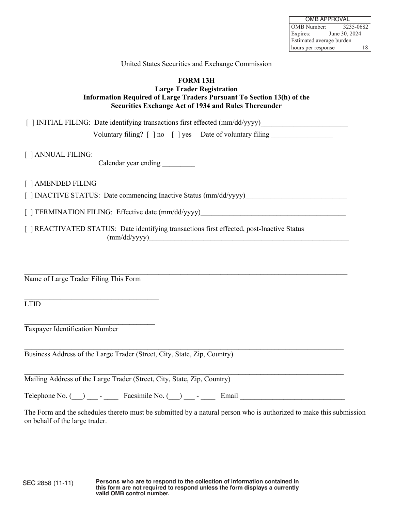| <b>OMB APPROVAL</b>      |               |  |
|--------------------------|---------------|--|
| <b>OMB</b> Number:       | 3235-0682     |  |
| Expires:                 | June 30, 2024 |  |
| Estimated average burden |               |  |
| 18<br>hours per response |               |  |

## United States Securities and Exchange Commission

## **FORM 13H Large Trader Registration Information Required of Large Traders Pursuant To Section 13(h) of the Securities Exchange Act of 1934 and Rules Thereunder**

[ ] INITIAL FILING: Date identifying transactions first effected (mm/dd/yyyy)

Voluntary filing?  $\lceil \cdot \rceil$  no  $\lceil \cdot \rceil$  yes Date of voluntary filing

[ ] ANNUAL FILING:

Calendar year ending \_\_\_\_\_\_\_\_\_

[ ] AMENDED FILING

[ ] INACTIVE STATUS: Date commencing Inactive Status (mm/dd/yyyy)\_\_\_\_\_\_\_\_\_\_\_\_\_\_\_\_\_\_\_\_\_\_\_\_\_\_\_\_

[ ] TERMINATION FILING: Effective date (mm/dd/yyyy)

[ ] REACTIVATED STATUS: Date identifying transactions first effected, post-Inactive Status  $(mm/dd/yyyy)$ 

 $\_$  , and the set of the set of the set of the set of the set of the set of the set of the set of the set of the set of the set of the set of the set of the set of the set of the set of the set of the set of the set of th

Name of Large Trader Filing This Form

\_\_\_\_\_\_\_\_\_\_\_\_\_\_\_\_\_\_\_\_\_\_\_\_\_\_\_\_\_\_\_\_\_\_\_\_\_

\_\_\_\_\_\_\_\_\_\_\_\_\_\_\_\_\_\_\_\_\_\_\_\_\_\_\_\_\_\_\_\_\_\_\_\_

LTID

Taxpayer Identification Number

Business Address of the Large Trader (Street, City, State, Zip, Country)

Mailing Address of the Large Trader (Street, City, State, Zip, Country)

Telephone No.  $($   $)$   $\text{Facsimile No.}$   $($   $)$   $\text{Email}$ 

 $\_$  . The contribution of the contribution of the contribution of the contribution of the contribution of the contribution of the contribution of the contribution of the contribution of the contribution of the contributio

 $\_$  , and the set of the set of the set of the set of the set of the set of the set of the set of the set of the set of the set of the set of the set of the set of the set of the set of the set of the set of the set of th

The Form and the schedules thereto must be submitted by a natural person who is authorized to make this submission on behalf of the large trader.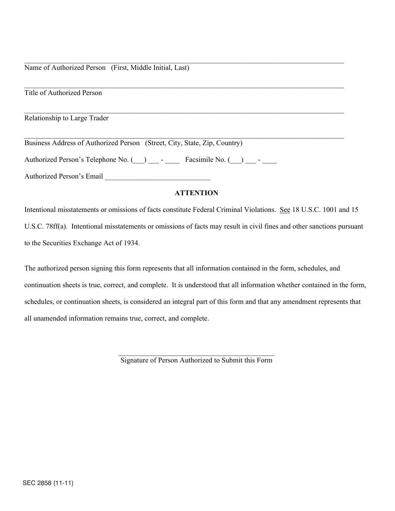Name of Authorized Person (First, Middle Initial, Last)

Title of Authorized Person

Relationship to Large Trader

Business Address of Authorized Person (Street, City, State, Zip, Country)

Authorized Person's Telephone No. (\_\_\_) \_\_\_ - \_\_\_\_\_ Facsimile No. (\_\_\_) \_\_\_ - \_\_\_

Authorized Person's Email \_\_\_\_\_\_\_\_\_\_\_\_\_\_\_\_\_\_\_\_\_\_\_\_\_\_\_\_\_

## **ATTENTION**

 $\_$  , and the contribution of the contribution of the contribution of the contribution of  $\mathcal{L}_\text{max}$ 

 $\_$  , and the contribution of the contribution of the contribution of the contribution of  $\mathcal{L}_\text{max}$ 

 $\_$  , and the contribution of the contribution of the contribution of the contribution of  $\mathcal{L}_\text{max}$ 

 $\_$  , and the contribution of the contribution of the contribution of the contribution of  $\mathcal{L}_\text{max}$ 

Intentional misstatements or omissions of facts constitute Federal Criminal Violations. See 18 U.S.C. 1001 and 15 U.S.C. 78ff(a). Intentional misstatements or omissions of facts may result in civil fines and other sanctions pursuant to the Securities Exchange Act of 1934.

The authorized person signing this form represents that all information contained in the form, schedules, and continuation sheets is true, correct, and complete. It is understood that all information whether contained in the form, schedules, or continuation sheets, is considered an integral part of this form and that any amendment represents that all unamended information remains true, correct, and complete.

> \_\_\_\_\_\_\_\_\_\_\_\_\_\_\_\_\_\_\_\_\_\_\_\_\_\_\_\_\_\_\_\_\_\_\_\_\_\_\_\_\_\_\_ Signature of Person Authorized to Submit this Form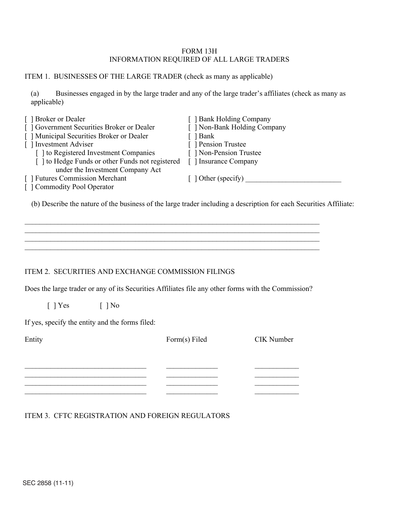## FORM 13H INFORMATION REQUIRED OF ALL LARGE TRADERS

## ITEM 1. BUSINESSES OF THE LARGE TRADER (check as many as applicable)

(a) Businesses engaged in by the large trader and any of the large trader's affiliates (check as many as applicable)

| <b>Bank Holding Company</b> |
|-----------------------------|
| Non-Bank Holding Company    |
| 1 Bank                      |
| Pension Trustee             |
| Non-Pension Trustee         |
| 1 Insurance Company         |
|                             |
| $\lceil$ 1 Other (specify)  |
|                             |
|                             |

(b) Describe the nature of the business of the large trader including a description for each Securities Affiliate:

# ITEM 2. SECURITIES AND EXCHANGE COMMISSION FILINGS

Does the large trader or any of its Securities Affiliates file any other forms with the Commission?

\_\_\_\_\_\_\_\_\_\_\_\_\_\_\_\_\_\_\_\_\_\_\_\_\_\_\_\_\_\_\_\_\_\_\_\_\_\_\_\_\_\_\_\_\_\_\_\_\_\_\_\_\_\_\_\_\_\_\_\_\_\_\_\_\_\_\_\_\_\_\_\_\_\_\_\_\_\_\_\_ \_\_\_\_\_\_\_\_\_\_\_\_\_\_\_\_\_\_\_\_\_\_\_\_\_\_\_\_\_\_\_\_\_\_\_\_\_\_\_\_\_\_\_\_\_\_\_\_\_\_\_\_\_\_\_\_\_\_\_\_\_\_\_\_\_\_\_\_\_\_\_\_\_\_\_\_\_\_\_\_ \_\_\_\_\_\_\_\_\_\_\_\_\_\_\_\_\_\_\_\_\_\_\_\_\_\_\_\_\_\_\_\_\_\_\_\_\_\_\_\_\_\_\_\_\_\_\_\_\_\_\_\_\_\_\_\_\_\_\_\_\_\_\_\_\_\_\_\_\_\_\_\_\_\_\_\_\_\_\_\_ \_\_\_\_\_\_\_\_\_\_\_\_\_\_\_\_\_\_\_\_\_\_\_\_\_\_\_\_\_\_\_\_\_\_\_\_\_\_\_\_\_\_\_\_\_\_\_\_\_\_\_\_\_\_\_\_\_\_\_\_\_\_\_\_\_\_\_\_\_\_\_\_\_\_\_\_\_\_\_\_

 $[ ]$  Yes  $[ ]$  No

If yes, specify the entity and the forms filed:

| Entity | Form(s) Filed | CIK Number |
|--------|---------------|------------|
|        |               |            |
|        |               |            |
|        |               |            |
|        |               |            |
|        |               |            |

# ITEM 3. CFTC REGISTRATION AND FOREIGN REGULATORS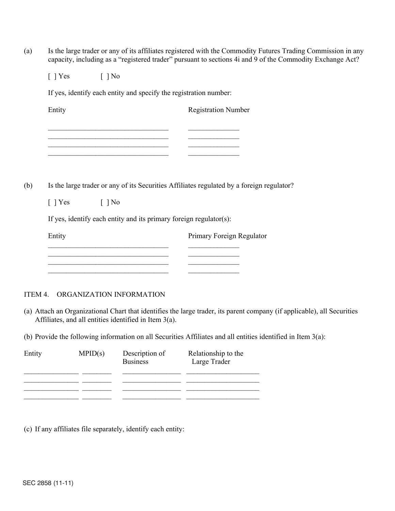(a) Is the large trader or any of its affiliates registered with the Commodity Futures Trading Commission in any capacity, including as a "registered trader" pursuant to sections 4i and 9 of the Commodity Exchange Act?

 $[ ]$  Yes  $[ ]$  No

If yes, identify each entity and specify the registration number:

Entity Registration Number \_\_\_\_\_\_\_\_\_\_\_\_\_\_\_\_\_\_\_\_\_\_\_\_\_\_\_\_\_\_\_\_\_ \_\_\_\_\_\_\_\_\_\_\_\_\_\_ \_\_\_\_\_\_\_\_\_\_\_\_\_\_\_\_\_\_\_\_\_\_\_\_\_\_\_\_\_\_\_\_\_ \_\_\_\_\_\_\_\_\_\_\_\_\_\_ \_\_\_\_\_\_\_\_\_\_\_\_\_\_\_\_\_\_\_\_\_\_\_\_\_\_\_\_\_\_\_\_\_ \_\_\_\_\_\_\_\_\_\_\_\_\_\_ \_\_\_\_\_\_\_\_\_\_\_\_\_\_\_\_\_\_\_\_\_\_\_\_\_\_\_\_\_\_\_\_\_ \_\_\_\_\_\_\_\_\_\_\_\_\_\_

(b) Is the large trader or any of its Securities Affiliates regulated by a foreign regulator?

| $\lceil \ \rceil$ Yes | $\lceil \,\, \rceil$ No |
|-----------------------|-------------------------|
|                       |                         |

If yes, identify each entity and its primary foreign regulator(s):

Entity Primary Foreign Regulator \_\_\_\_\_\_\_\_\_\_\_\_\_\_\_\_\_\_\_\_\_\_\_\_\_\_\_\_\_\_\_\_\_ \_\_\_\_\_\_\_\_\_\_\_\_\_\_  $\frac{1}{2}$  ,  $\frac{1}{2}$  ,  $\frac{1}{2}$  ,  $\frac{1}{2}$  ,  $\frac{1}{2}$  ,  $\frac{1}{2}$  ,  $\frac{1}{2}$  ,  $\frac{1}{2}$  ,  $\frac{1}{2}$  ,  $\frac{1}{2}$  ,  $\frac{1}{2}$  ,  $\frac{1}{2}$  ,  $\frac{1}{2}$  ,  $\frac{1}{2}$  ,  $\frac{1}{2}$  ,  $\frac{1}{2}$  ,  $\frac{1}{2}$  ,  $\frac{1}{2}$  ,  $\frac{1$ \_\_\_\_\_\_\_\_\_\_\_\_\_\_\_\_\_\_\_\_\_\_\_\_\_\_\_\_\_\_\_\_\_ \_\_\_\_\_\_\_\_\_\_\_\_\_\_ \_\_\_\_\_\_\_\_\_\_\_\_\_\_\_\_\_\_\_\_\_\_\_\_\_\_\_\_\_\_\_\_\_ \_\_\_\_\_\_\_\_\_\_\_\_\_\_

## ITEM 4. ORGANIZATION INFORMATION

(a) Attach an Organizational Chart that identifies the large trader, its parent company (if applicable), all Securities Affiliates, and all entities identified in Item 3(a).

(b) Provide the following information on all Securities Affiliates and all entities identified in Item 3(a):

| Entity | MPID(s) | Description of<br><b>Business</b> | Relationship to the<br>Large Trader |
|--------|---------|-----------------------------------|-------------------------------------|
|        |         |                                   |                                     |
|        |         |                                   |                                     |
|        |         |                                   |                                     |

(c) If any affiliates file separately, identify each entity: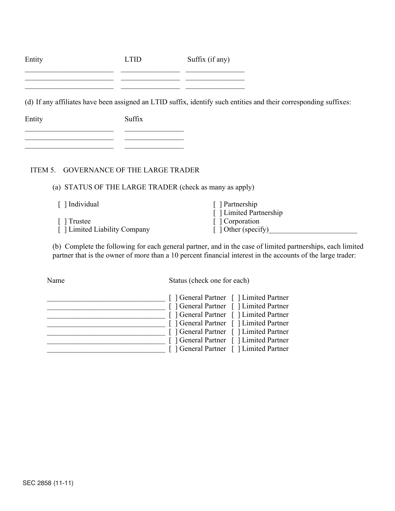| Entity | <b>LTID</b> | Suffix (if any)                                                                                                   |
|--------|-------------|-------------------------------------------------------------------------------------------------------------------|
|        |             |                                                                                                                   |
|        |             | (d) If any affiliates have been assigned an LTID suffix, identify such entities and their corresponding suffixes: |
| Entity | Suffix      |                                                                                                                   |
|        |             |                                                                                                                   |
|        |             |                                                                                                                   |

# ITEM 5. GOVERNANCE OF THE LARGE TRADER

(a) STATUS OF THE LARGE TRADER (check as many as apply)

| [ ] Individual                | Partnership                |
|-------------------------------|----------------------------|
|                               | [ ] Limited Partnership    |
| Trustee                       | [ Corporation              |
| [ ] Limited Liability Company | $\lceil$ 1 Other (specify) |

(b) Complete the following for each general partner, and in the case of limited partnerships, each limited partner that is the owner of more than a 10 percent financial interest in the accounts of the large trader:

Name Status (check one for each)

|  | [ ] General Partner [ ] Limited Partner<br>[ ] General Partner [ ] Limited Partner<br>[ ] General Partner [ ] Limited Partner<br>[ ] General Partner [ ] Limited Partner<br>[ ] General Partner [ ] Limited Partner |
|--|---------------------------------------------------------------------------------------------------------------------------------------------------------------------------------------------------------------------|
|  | [ ] General Partner [ ] Limited Partner<br>[ ] General Partner [ ] Limited Partner                                                                                                                                  |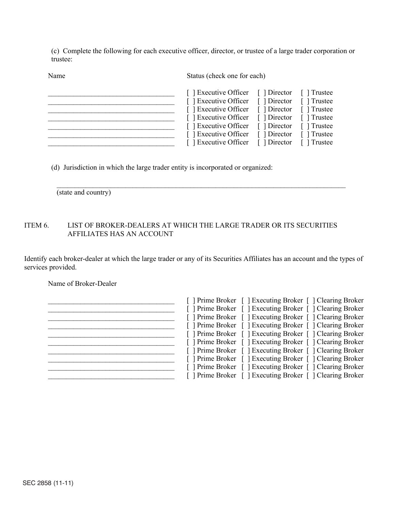(c) Complete the following for each executive officer, director, or trustee of a large trader corporation or trustee:

Name Status (check one for each)

| [ ] Executive Officer [ ] Director [ ] Trustee |  |
|------------------------------------------------|--|
| [ ] Executive Officer [ ] Director [ ] Trustee |  |
| [ ] Executive Officer [ ] Director [ ] Trustee |  |
| [ ] Executive Officer [ ] Director [ ] Trustee |  |
| [ ] Executive Officer [ ] Director [ ] Trustee |  |
| [ ] Executive Officer [ ] Director [ ] Trustee |  |
| [ ] Executive Officer [ ] Director [ ] Trustee |  |

(d) Jurisdiction in which the large trader entity is incorporated or organized:

 $\frac{1}{2}$  ,  $\frac{1}{2}$  ,  $\frac{1}{2}$  ,  $\frac{1}{2}$  ,  $\frac{1}{2}$  ,  $\frac{1}{2}$  ,  $\frac{1}{2}$  ,  $\frac{1}{2}$  ,  $\frac{1}{2}$  ,  $\frac{1}{2}$  ,  $\frac{1}{2}$  ,  $\frac{1}{2}$  ,  $\frac{1}{2}$  ,  $\frac{1}{2}$  ,  $\frac{1}{2}$  ,  $\frac{1}{2}$  ,  $\frac{1}{2}$  ,  $\frac{1}{2}$  ,  $\frac{1$ (state and country)

# ITEM 6. LIST OF BROKER-DEALERS AT WHICH THE LARGE TRADER OR ITS SECURITIES AFFILIATES HAS AN ACCOUNT

Identify each broker-dealer at which the large trader or any of its Securities Affiliates has an account and the types of services provided.

Name of Broker-Dealer

| [ ] Prime Broker [ ] Executing Broker [ ] Clearing Broker |
|-----------------------------------------------------------|
| [ ] Prime Broker [ ] Executing Broker [ ] Clearing Broker |
| [ ] Prime Broker [ ] Executing Broker [ ] Clearing Broker |
| [ ] Prime Broker [ ] Executing Broker [ ] Clearing Broker |
| [ ] Prime Broker [ ] Executing Broker [ ] Clearing Broker |
| [ ] Prime Broker [ ] Executing Broker [ ] Clearing Broker |
| [ ] Prime Broker [ ] Executing Broker [ ] Clearing Broker |
| [ ] Prime Broker [ ] Executing Broker [ ] Clearing Broker |
| [ ] Prime Broker [ ] Executing Broker [ ] Clearing Broker |
| [ ] Prime Broker [ ] Executing Broker [ ] Clearing Broker |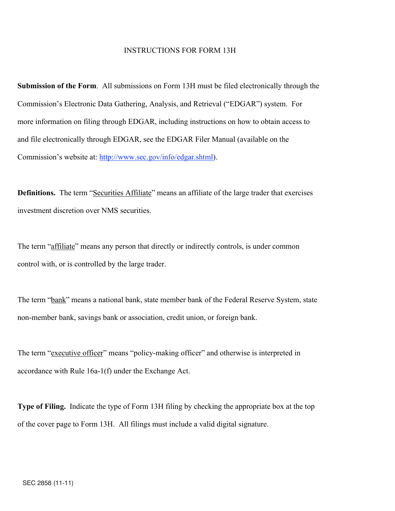#### INSTRUCTIONS FOR FORM 13H

**Submission of the Form**. All submissions on Form 13H must be filed electronically through the Commission's Electronic Data Gathering, Analysis, and Retrieval ("EDGAR") system. For more information on filing through EDGAR, including instructions on how to obtain access to and file electronically through EDGAR, see the EDGAR Filer Manual (available on the Commission's website at: http://www.sec.gov/info/edgar.shtml).

**Definitions.** The term "Securities Affiliate" means an affiliate of the large trader that exercises investment discretion over NMS securities.

The term "affiliate" means any person that directly or indirectly controls, is under common control with, or is controlled by the large trader.

The term "bank" means a national bank, state member bank of the Federal Reserve System, state non-member bank, savings bank or association, credit union, or foreign bank.

The term "executive officer" means "policy-making officer" and otherwise is interpreted in accordance with Rule 16a-1(f) under the Exchange Act.

**Type of Filing.** Indicate the type of Form 13H filing by checking the appropriate box at the top of the cover page to Form 13H. All filings must include a valid digital signature.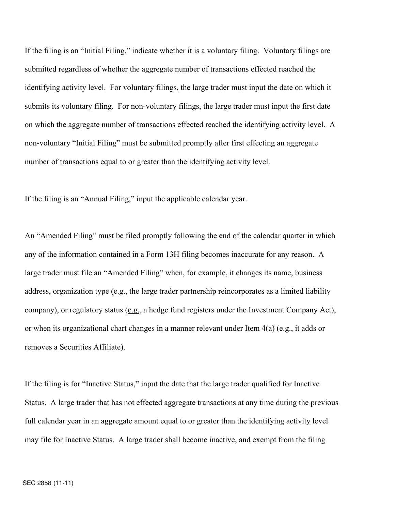If the filing is an "Initial Filing," indicate whether it is a voluntary filing. Voluntary filings are submitted regardless of whether the aggregate number of transactions effected reached the identifying activity level. For voluntary filings, the large trader must input the date on which it submits its voluntary filing. For non-voluntary filings, the large trader must input the first date on which the aggregate number of transactions effected reached the identifying activity level. A non-voluntary "Initial Filing" must be submitted promptly after first effecting an aggregate number of transactions equal to or greater than the identifying activity level.

If the filing is an "Annual Filing," input the applicable calendar year.

An "Amended Filing" must be filed promptly following the end of the calendar quarter in which any of the information contained in a Form 13H filing becomes inaccurate for any reason. A large trader must file an "Amended Filing" when, for example, it changes its name, business address, organization type (e.g., the large trader partnership reincorporates as a limited liability company), or regulatory status (e.g., a hedge fund registers under the Investment Company Act), or when its organizational chart changes in a manner relevant under Item  $4(a)$  (e.g., it adds or removes a Securities Affiliate).

If the filing is for "Inactive Status," input the date that the large trader qualified for Inactive Status. A large trader that has not effected aggregate transactions at any time during the previous full calendar year in an aggregate amount equal to or greater than the identifying activity level may file for Inactive Status. A large trader shall become inactive, and exempt from the filing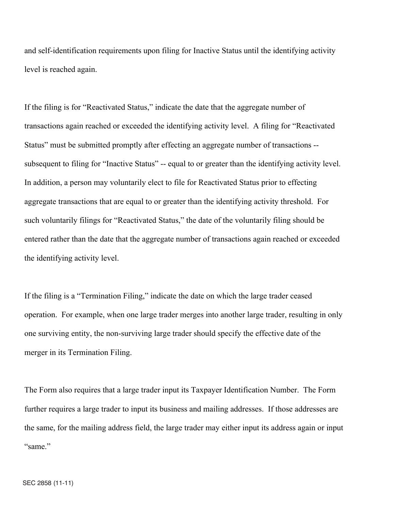and self-identification requirements upon filing for Inactive Status until the identifying activity level is reached again.

If the filing is for "Reactivated Status," indicate the date that the aggregate number of transactions again reached or exceeded the identifying activity level. A filing for "Reactivated Status" must be submitted promptly after effecting an aggregate number of transactions - subsequent to filing for "Inactive Status" -- equal to or greater than the identifying activity level. In addition, a person may voluntarily elect to file for Reactivated Status prior to effecting aggregate transactions that are equal to or greater than the identifying activity threshold. For such voluntarily filings for "Reactivated Status," the date of the voluntarily filing should be entered rather than the date that the aggregate number of transactions again reached or exceeded the identifying activity level.

If the filing is a "Termination Filing," indicate the date on which the large trader ceased operation. For example, when one large trader merges into another large trader, resulting in only one surviving entity, the non-surviving large trader should specify the effective date of the merger in its Termination Filing.

The Form also requires that a large trader input its Taxpayer Identification Number. The Form further requires a large trader to input its business and mailing addresses. If those addresses are the same, for the mailing address field, the large trader may either input its address again or input "same"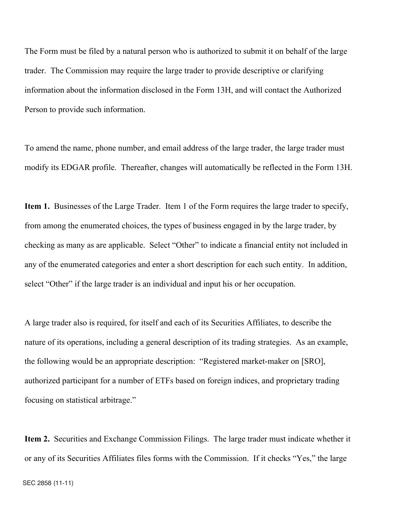The Form must be filed by a natural person who is authorized to submit it on behalf of the large trader. The Commission may require the large trader to provide descriptive or clarifying information about the information disclosed in the Form 13H, and will contact the Authorized Person to provide such information.

To amend the name, phone number, and email address of the large trader, the large trader must modify its EDGAR profile. Thereafter, changes will automatically be reflected in the Form 13H.

**Item 1.** Businesses of the Large Trader. Item 1 of the Form requires the large trader to specify, from among the enumerated choices, the types of business engaged in by the large trader, by checking as many as are applicable. Select "Other" to indicate a financial entity not included in any of the enumerated categories and enter a short description for each such entity. In addition, select "Other" if the large trader is an individual and input his or her occupation.

A large trader also is required, for itself and each of its Securities Affiliates, to describe the nature of its operations, including a general description of its trading strategies. As an example, the following would be an appropriate description: "Registered market-maker on [SRO], authorized participant for a number of ETFs based on foreign indices, and proprietary trading focusing on statistical arbitrage."

**Item 2.** Securities and Exchange Commission Filings. The large trader must indicate whether it or any of its Securities Affiliates files forms with the Commission. If it checks "Yes," the large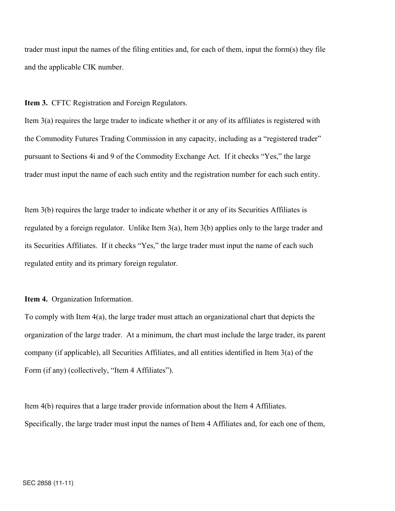trader must input the names of the filing entities and, for each of them, input the form(s) they file and the applicable CIK number.

**Item 3.** CFTC Registration and Foreign Regulators.

Item 3(a) requires the large trader to indicate whether it or any of its affiliates is registered with the Commodity Futures Trading Commission in any capacity, including as a "registered trader" pursuant to Sections 4i and 9 of the Commodity Exchange Act. If it checks "Yes," the large trader must input the name of each such entity and the registration number for each such entity.

Item 3(b) requires the large trader to indicate whether it or any of its Securities Affiliates is regulated by a foreign regulator. Unlike Item  $3(a)$ , Item  $3(b)$  applies only to the large trader and its Securities Affiliates. If it checks "Yes," the large trader must input the name of each such regulated entity and its primary foreign regulator.

#### **Item 4.** Organization Information.

To comply with Item 4(a), the large trader must attach an organizational chart that depicts the organization of the large trader. At a minimum, the chart must include the large trader, its parent company (if applicable), all Securities Affiliates, and all entities identified in Item 3(a) of the Form (if any) (collectively, "Item 4 Affiliates").

Item 4(b) requires that a large trader provide information about the Item 4 Affiliates. Specifically, the large trader must input the names of Item 4 Affiliates and, for each one of them,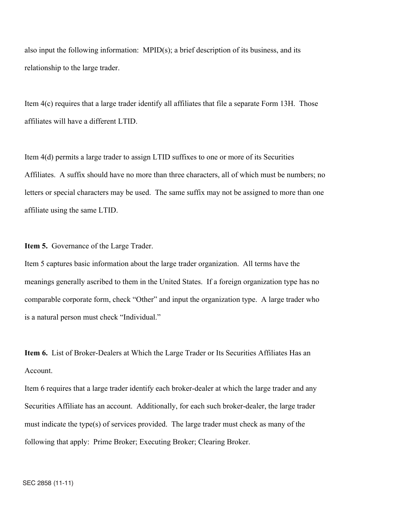also input the following information:  $MPID(s)$ ; a brief description of its business, and its relationship to the large trader.

Item 4(c) requires that a large trader identify all affiliates that file a separate Form 13H. Those affiliates will have a different LTID.

Item 4(d) permits a large trader to assign LTID suffixes to one or more of its Securities Affiliates. A suffix should have no more than three characters, all of which must be numbers; no letters or special characters may be used. The same suffix may not be assigned to more than one affiliate using the same LTID.

**Item 5.** Governance of the Large Trader.

Item 5 captures basic information about the large trader organization. All terms have the meanings generally ascribed to them in the United States. If a foreign organization type has no comparable corporate form, check "Other" and input the organization type. A large trader who is a natural person must check "Individual."

**Item 6.** List of Broker-Dealers at Which the Large Trader or Its Securities Affiliates Has an Account.

Item 6 requires that a large trader identify each broker-dealer at which the large trader and any Securities Affiliate has an account. Additionally, for each such broker-dealer, the large trader must indicate the type(s) of services provided. The large trader must check as many of the following that apply: Prime Broker; Executing Broker; Clearing Broker.